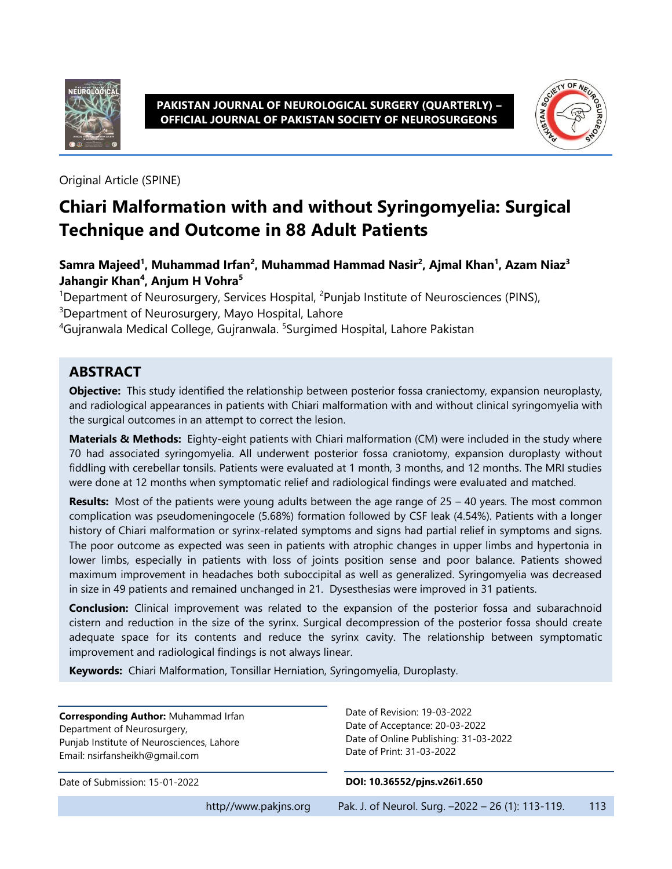

#### **PAKISTAN JOURNAL OF NEUROLOGICAL SURGERY (QUARTERLY) – OFFICIAL JOURNAL OF PAKISTAN SOCIETY OF NEUROSURGEONS**



Original Article (SPINE)

# **Chiari Malformation with and without Syringomyelia: Surgical Technique and Outcome in 88 Adult Patients**

**Samra Majeed<sup>1</sup> , Muhammad Irfan<sup>2</sup> , Muhammad Hammad Nasir<sup>2</sup> , Ajmal Khan<sup>1</sup> , Azam Niaz<sup>3</sup> Jahangir Khan<sup>4</sup> , Anjum H Vohra<sup>5</sup>**

<sup>1</sup>Department of Neurosurgery, Services Hospital, <sup>2</sup>Punjab Institute of Neurosciences (PINS),

<sup>3</sup>Department of Neurosurgery, Mayo Hospital, Lahore

<sup>4</sup>Gujranwala Medical College, Gujranwala. <sup>5</sup>Surgimed Hospital, Lahore Pakistan

### **ABSTRACT**

**Objective:** This study identified the relationship between posterior fossa craniectomy, expansion neuroplasty, and radiological appearances in patients with Chiari malformation with and without clinical syringomyelia with the surgical outcomes in an attempt to correct the lesion.

**Materials & Methods:** Eighty-eight patients with Chiari malformation (CM) were included in the study where 70 had associated syringomyelia. All underwent posterior fossa craniotomy, expansion duroplasty without fiddling with cerebellar tonsils. Patients were evaluated at 1 month, 3 months, and 12 months. The MRI studies were done at 12 months when symptomatic relief and radiological findings were evaluated and matched.

**Results:** Most of the patients were young adults between the age range of 25 – 40 years. The most common complication was pseudomeningocele (5.68%) formation followed by CSF leak (4.54%). Patients with a longer history of Chiari malformation or syrinx-related symptoms and signs had partial relief in symptoms and signs. The poor outcome as expected was seen in patients with atrophic changes in upper limbs and hypertonia in lower limbs, especially in patients with loss of joints position sense and poor balance. Patients showed maximum improvement in headaches both suboccipital as well as generalized. Syringomyelia was decreased in size in 49 patients and remained unchanged in 21. Dysesthesias were improved in 31 patients.

**Conclusion:** Clinical improvement was related to the expansion of the posterior fossa and subarachnoid cistern and reduction in the size of the syrinx. Surgical decompression of the posterior fossa should create adequate space for its contents and reduce the syrinx cavity. The relationship between symptomatic improvement and radiological findings is not always linear.

**Keywords:** Chiari Malformation, Tonsillar Herniation, Syringomyelia, Duroplasty.

| <b>Corresponding Author: Muhammad Irfan</b><br>Department of Neurosurgery,<br>Punjab Institute of Neurosciences, Lahore<br>Email: nsirfansheikh@gmail.com |                      | Date of Revision: 19-03-2022<br>Date of Acceptance: 20-03-2022<br>Date of Online Publishing: 31-03-2022<br>Date of Print: 31-03-2022 |     |  |  |
|-----------------------------------------------------------------------------------------------------------------------------------------------------------|----------------------|--------------------------------------------------------------------------------------------------------------------------------------|-----|--|--|
| Date of Submission: 15-01-2022                                                                                                                            |                      | DOI: 10.36552/pjns.v26i1.650                                                                                                         |     |  |  |
|                                                                                                                                                           | http//www.pakins.org | Pak. J. of Neurol. Surg. -2022 - 26 (1): 113-119.                                                                                    | 113 |  |  |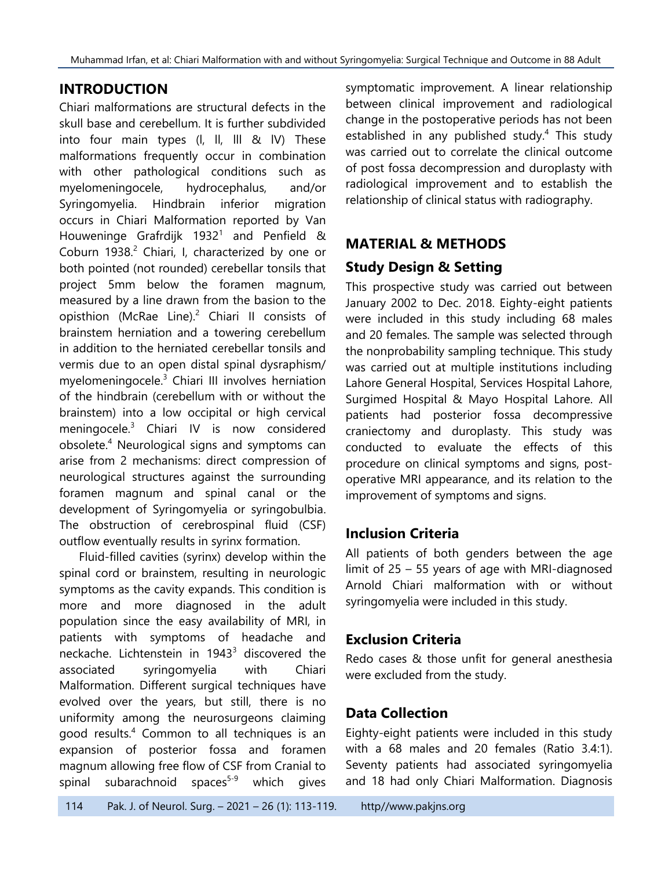### **INTRODUCTION**

Chiari malformations are structural defects in the skull base and cerebellum. It is further subdivided into four main types (I, II, III & IV) These malformations frequently occur in combination with other pathological conditions such as myelomeningocele, hydrocephalus, and/or Syringomyelia. Hindbrain inferior migration occurs in Chiari Malformation reported by Van Houweninge Grafrdijk  $1932<sup>1</sup>$  and Penfield & Coburn 1938.<sup>2</sup> Chiari, I, characterized by one or both pointed (not rounded) cerebellar tonsils that project 5mm below the foramen magnum, measured by a line drawn from the basion to the opisthion (McRae Line). <sup>2</sup> Chiari II consists of brainstem herniation and a towering cerebellum in addition to the herniated cerebellar tonsils and vermis due to an open distal spinal dysraphism/ myelomeningocele. <sup>3</sup> Chiari III involves herniation of the hindbrain (cerebellum with or without the brainstem) into a low occipital or high cervical meningocele. <sup>3</sup> Chiari IV is now considered obsolete. <sup>4</sup> Neurological signs and symptoms can arise from 2 mechanisms: direct compression of neurological structures against the surrounding foramen magnum and spinal canal or the development of Syringomyelia or syringobulbia. The obstruction of cerebrospinal fluid (CSF) outflow eventually results in syrinx formation.

Fluid-filled cavities (syrinx) develop within the spinal cord or brainstem, resulting in neurologic symptoms as the cavity expands. This condition is more and more diagnosed in the adult population since the easy availability of MRI, in patients with symptoms of headache and neckache. Lichtenstein in  $1943<sup>3</sup>$  discovered the associated syringomyelia with Chiari Malformation. Different surgical techniques have evolved over the years, but still, there is no uniformity among the neurosurgeons claiming good results. <sup>4</sup> Common to all techniques is an expansion of posterior fossa and foramen magnum allowing free flow of CSF from Cranial to spinal subarachnoid spaces<sup>5-9</sup> which gives

symptomatic improvement. A linear relationship between clinical improvement and radiological change in the postoperative periods has not been established in any published study.<sup>4</sup> This study was carried out to correlate the clinical outcome of post fossa decompression and duroplasty with radiological improvement and to establish the relationship of clinical status with radiography.

# **MATERIAL & METHODS**

### **Study Design & Setting**

This prospective study was carried out between January 2002 to Dec. 2018. Eighty-eight patients were included in this study including 68 males and 20 females. The sample was selected through the nonprobability sampling technique. This study was carried out at multiple institutions including Lahore General Hospital, Services Hospital Lahore, Surgimed Hospital & Mayo Hospital Lahore. All patients had posterior fossa decompressive craniectomy and duroplasty. This study was conducted to evaluate the effects of this procedure on clinical symptoms and signs, postoperative MRI appearance, and its relation to the improvement of symptoms and signs.

### **Inclusion Criteria**

All patients of both genders between the age limit of 25 – 55 years of age with MRI-diagnosed Arnold Chiari malformation with or without syringomyelia were included in this study.

### **Exclusion Criteria**

Redo cases & those unfit for general anesthesia were excluded from the study.

# **Data Collection**

Eighty-eight patients were included in this study with a 68 males and 20 females (Ratio 3.4:1). Seventy patients had associated syringomyelia and 18 had only Chiari Malformation. Diagnosis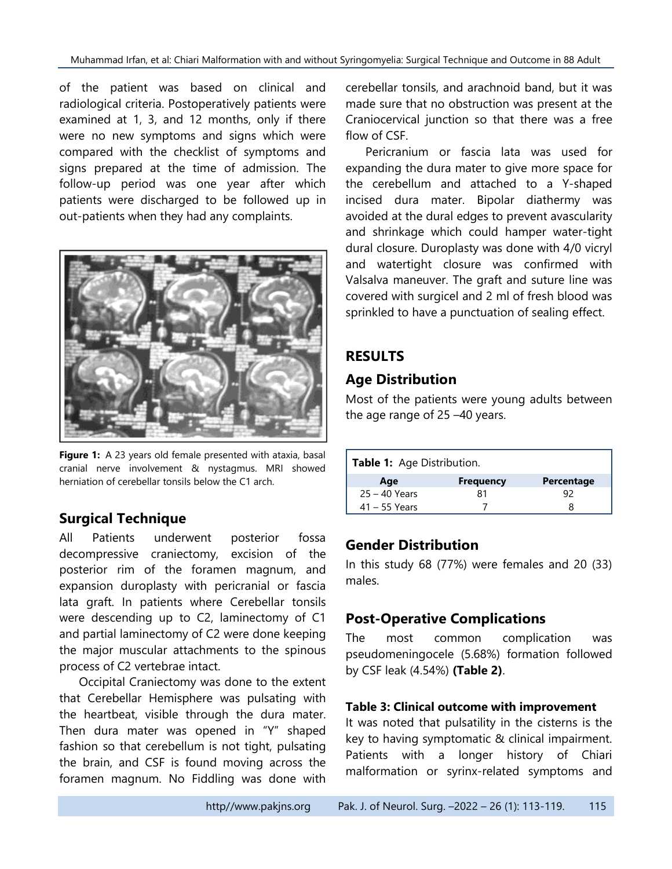of the patient was based on clinical and radiological criteria. Postoperatively patients were examined at 1, 3, and 12 months, only if there were no new symptoms and signs which were compared with the checklist of symptoms and signs prepared at the time of admission. The follow-up period was one year after which patients were discharged to be followed up in out-patients when they had any complaints.



**Figure 1:** A 23 years old female presented with ataxia, basal cranial nerve involvement & nystagmus. MRI showed herniation of cerebellar tonsils below the C1 arch.

# **Surgical Technique**

All Patients underwent posterior fossa decompressive craniectomy, excision of the posterior rim of the foramen magnum, and expansion duroplasty with pericranial or fascia lata graft. In patients where Cerebellar tonsils were descending up to C2, laminectomy of C1 and partial laminectomy of C2 were done keeping the major muscular attachments to the spinous process of C2 vertebrae intact.

Occipital Craniectomy was done to the extent that Cerebellar Hemisphere was pulsating with the heartbeat, visible through the dura mater. Then dura mater was opened in "Y" shaped fashion so that cerebellum is not tight, pulsating the brain, and CSF is found moving across the foramen magnum. No Fiddling was done with cerebellar tonsils, and arachnoid band, but it was made sure that no obstruction was present at the Craniocervical junction so that there was a free flow of CSF.

Pericranium or fascia lata was used for expanding the dura mater to give more space for the cerebellum and attached to a Y-shaped incised dura mater. Bipolar diathermy was avoided at the dural edges to prevent avascularity and shrinkage which could hamper water-tight dural closure. Duroplasty was done with 4/0 vicryl and watertight closure was confirmed with Valsalva [maneuver.](https://www.google.com.pk/search?espv=2&biw=1366&bih=623&q=valsalva+maneuver&spell=1&sa=X&ei=pKuJVOzsAsyBaYOjgbAP&ved=0CBcQvwUoAA) The graft and suture line was covered with surgicel and 2 ml of fresh blood was sprinkled to have a punctuation of sealing effect.

# **RESULTS**

# **Age Distribution**

Most of the patients were young adults between the age range of 25 –40 years.

| <b>Table 1:</b> Age Distribution. |                  |            |  |  |
|-----------------------------------|------------------|------------|--|--|
| Age                               | <b>Frequency</b> | Percentage |  |  |
| $25 - 40$ Years                   | 81               | 92         |  |  |
| $41 - 55$ Years                   |                  |            |  |  |

### **Gender Distribution**

In this study 68 (77%) were females and 20 (33) males.

# **Post-Operative Complications**

The most common complication was pseudomeningocele (5.68%) formation followed by CSF leak (4.54%) **(Table 2)**.

### **Table 3: Clinical outcome with improvement**

It was noted that pulsatility in the cisterns is the key to having symptomatic & clinical impairment. Patients with a longer history of Chiari malformation or syrinx-related symptoms and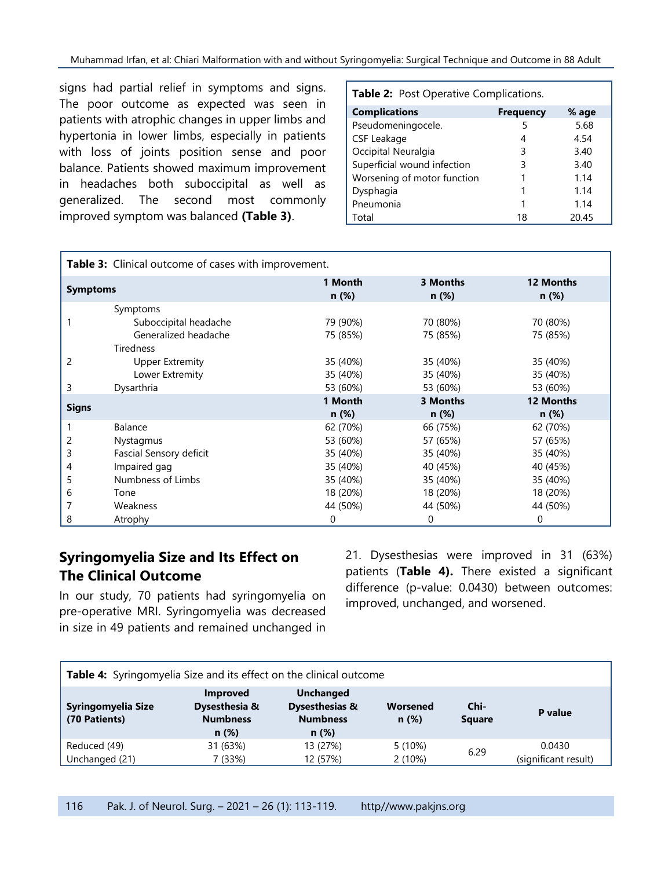Muhammad Irfan, et al: Chiari Malformation with and without Syringomyelia: Surgical Technique and Outcome in 88 Adult

signs had partial relief in symptoms and signs. The poor outcome as expected was seen in patients with atrophic changes in upper limbs and hypertonia in lower limbs, especially in patients with loss of joints position sense and poor balance. Patients showed maximum improvement in headaches both suboccipital as well as generalized. The second most commonly improved symptom was balanced **(Table 3)**.

#### **Table 2:** Post Operative Complications.

| <b>Complications</b>        | <b>Frequency</b> | % age |
|-----------------------------|------------------|-------|
| Pseudomeningocele.          | 5                | 5.68  |
| CSF Leakage                 | 4                | 4.54  |
| Occipital Neuralgia         | 3                | 3.40  |
| Superficial wound infection | 3                | 3.40  |
| Worsening of motor function |                  | 1.14  |
| Dysphagia                   | 1                | 1.14  |
| Pneumonia                   | 1                | 1.14  |
| Total                       | 18               | 20.45 |

| Table 3: Clinical outcome of cases with improvement. |                                                                                                                            |                                                                                       |                                                                                       |                                                                                       |
|------------------------------------------------------|----------------------------------------------------------------------------------------------------------------------------|---------------------------------------------------------------------------------------|---------------------------------------------------------------------------------------|---------------------------------------------------------------------------------------|
| <b>Symptoms</b>                                      |                                                                                                                            | 1 Month<br>n (%)                                                                      | 3 Months<br>n (%)                                                                     | <b>12 Months</b><br>n (%)                                                             |
|                                                      | Symptoms<br>Suboccipital headache<br>Generalized headache<br><b>Tiredness</b>                                              | 79 (90%)<br>75 (85%)                                                                  | 70 (80%)<br>75 (85%)                                                                  | 70 (80%)<br>75 (85%)                                                                  |
| 2<br>3                                               | <b>Upper Extremity</b><br>Lower Extremity<br>Dysarthria                                                                    | 35 (40%)<br>35 (40%)<br>53 (60%)                                                      | 35 (40%)<br>35 (40%)<br>53 (60%)                                                      | 35 (40%)<br>35 (40%)<br>53 (60%)                                                      |
| <b>Signs</b>                                         |                                                                                                                            | 1 Month<br>n(%)                                                                       | 3 Months<br>n(%)                                                                      | 12 Months<br>n(%)                                                                     |
| 2<br>3<br>4<br>5<br>6<br>8                           | Balance<br><b>Nystagmus</b><br>Fascial Sensory deficit<br>Impaired gag<br>Numbness of Limbs<br>Tone<br>Weakness<br>Atrophy | 62 (70%)<br>53 (60%)<br>35 (40%)<br>35 (40%)<br>35 (40%)<br>18 (20%)<br>44 (50%)<br>0 | 66 (75%)<br>57 (65%)<br>35 (40%)<br>40 (45%)<br>35 (40%)<br>18 (20%)<br>44 (50%)<br>0 | 62 (70%)<br>57 (65%)<br>35 (40%)<br>40 (45%)<br>35 (40%)<br>18 (20%)<br>44 (50%)<br>0 |

### **Syringomyelia Size and Its Effect on The Clinical Outcome**

In our study, 70 patients had syringomyelia on pre-operative MRI. Syringomyelia was decreased in size in 49 patients and remained unchanged in 21. Dysesthesias were improved in 31 (63%) patients (**Table 4).** There existed a significant difference (p-value: 0.0430) between outcomes: improved, unchanged, and worsened.

| <b>Table 4:</b> Syringomyelia Size and its effect on the clinical outcome |                                                             |                                                                   |                     |                       |                                |
|---------------------------------------------------------------------------|-------------------------------------------------------------|-------------------------------------------------------------------|---------------------|-----------------------|--------------------------------|
| Syringomyelia Size<br>(70 Patients)                                       | <b>Improved</b><br>Dysesthesia &<br><b>Numbness</b><br>n(%) | Unchanged<br><b>Dysesthesias &amp;</b><br><b>Numbness</b><br>n(%) | Worsened<br>n(%)    | Chi-<br><b>Square</b> | P value                        |
| Reduced (49)<br>Unchanged (21)                                            | 31 (63%)<br>7 (33%)                                         | 13 (27%)<br>12 (57%)                                              | $5(10\%)$<br>2(10%) | 6.29                  | 0.0430<br>(significant result) |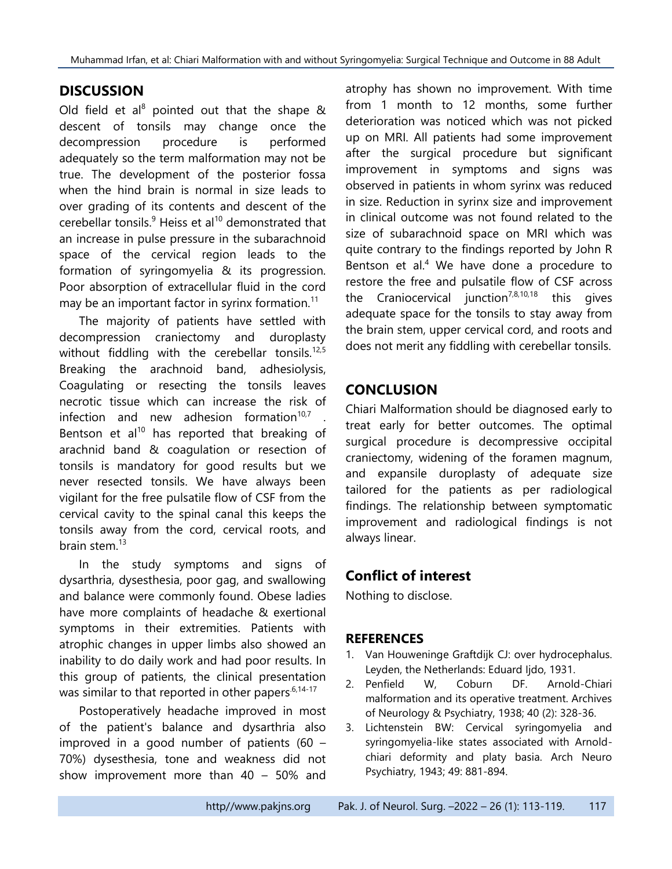### **DISCUSSION**

Old field et al<sup>8</sup> pointed out that the shape  $\&$ descent of tonsils may change once the decompression procedure is performed adequately so the term malformation may not be true. The development of the posterior fossa when the hind brain is normal in size leads to over grading of its contents and descent of the cerebellar tonsils. $9$  Heiss et al<sup>10</sup> demonstrated that an increase in pulse pressure in the subarachnoid space of the cervical region leads to the formation of syringomyelia & its progression. Poor absorption of extracellular fluid in the cord may be an important factor in syrinx formation.<sup>11</sup>

The majority of patients have settled with decompression craniectomy and duroplasty without fiddling with the cerebellar tonsils.<sup>12,5</sup> Breaking the arachnoid band, adhesiolysis, Coagulating or resecting the tonsils leaves necrotic tissue which can increase the risk of infection and new adhesion formation $10,7$ . Bentson et al<sup>10</sup> has reported that breaking of arachnid band & coagulation or resection of tonsils is mandatory for good results but we never resected tonsils. We have always been vigilant for the free pulsatile flow of CSF from the cervical cavity to the spinal canal this keeps the tonsils away from the cord, cervical roots, and brain stem  $13$ 

In the study symptoms and signs of dysarthria, dysesthesia, poor gag, and swallowing and balance were commonly found. Obese ladies have more complaints of headache & exertional symptoms in their extremities. Patients with atrophic changes in upper limbs also showed an inability to do daily work and had poor results. In this group of patients, the clinical presentation was similar to that reported in other papers.<sup>6,14-17</sup>

Postoperatively headache improved in most of the patient's balance and dysarthria also improved in a good number of patients (60 – 70%) dysesthesia, tone and weakness did not show improvement more than 40 – 50% and atrophy has shown no improvement. With time from 1 month to 12 months, some further deterioration was noticed which was not picked up on MRI. All patients had some improvement after the surgical procedure but significant improvement in symptoms and signs was observed in patients in whom syrinx was reduced in size. Reduction in syrinx size and improvement in clinical outcome was not found related to the size of subarachnoid space on MRI which was quite contrary to the findings reported by John R Bentson et al.<sup>4</sup> We have done a procedure to restore the free and pulsatile flow of CSF across the Craniocervical junction<sup>7,8,10,18</sup> this gives adequate space for the tonsils to stay away from the brain stem, upper cervical cord, and roots and does not merit any fiddling with cerebellar tonsils.

### **CONCLUSION**

Chiari Malformation should be diagnosed early to treat early for better outcomes. The optimal surgical procedure is decompressive occipital craniectomy, widening of the foramen magnum, and expansile duroplasty of adequate size tailored for the patients as per radiological findings. The relationship between symptomatic improvement and radiological findings is not always linear.

### **Conflict of interest**

Nothing to disclose.

### **REFERENCES**

- 1. Van Houweninge Graftdijk CJ: over hydrocephalus. Leyden, the Netherlands: Eduard Ijdo, 1931.
- 2. Penfield W, Coburn DF. Arnold-Chiari malformation and its operative treatment. Archives of Neurology & Psychiatry, 1938; 40 (2): 328-36.
- 3. Lichtenstein BW: Cervical syringomyelia and syringomyelia-like states associated with Arnoldchiari deformity and platy basia. Arch Neuro Psychiatry, 1943; 49: 881-894.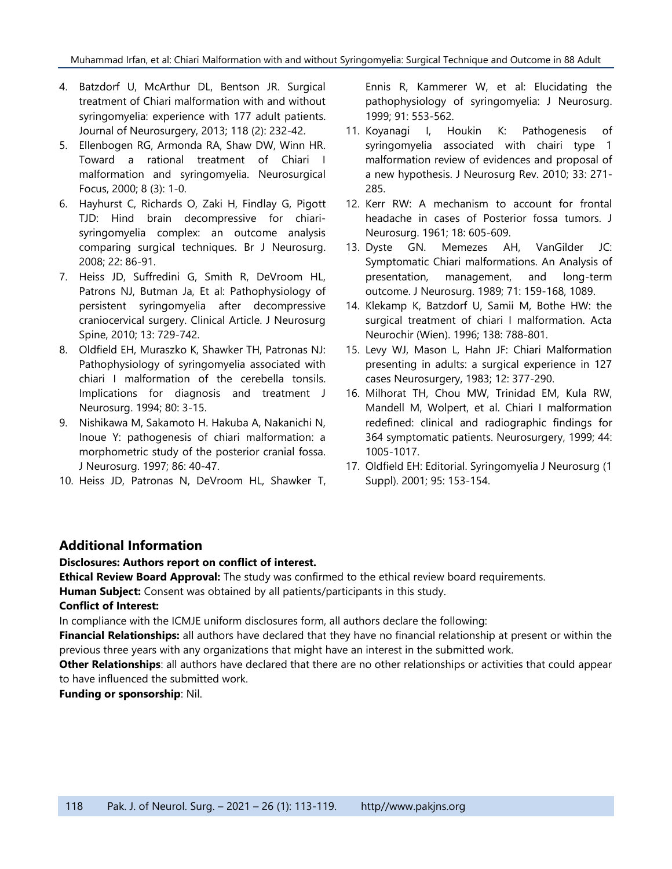- 4. Batzdorf U, McArthur DL, Bentson JR. Surgical treatment of Chiari malformation with and without syringomyelia: experience with 177 adult patients. Journal of Neurosurgery, 2013; 118 (2): 232-42.
- 5. Ellenbogen RG, Armonda RA, Shaw DW, Winn HR. Toward a rational treatment of Chiari I malformation and syringomyelia. Neurosurgical Focus, 2000; 8 (3): 1-0.
- 6. Hayhurst C, Richards O, Zaki H, Findlay G, Pigott TJD: Hind brain decompressive for chiarisyringomyelia complex: an outcome analysis comparing surgical techniques. Br J Neurosurg. 2008; 22: 86-91.
- 7. Heiss JD, Suffredini G, Smith R, DeVroom HL, Patrons NJ, Butman Ja, Et al: Pathophysiology of persistent syringomyelia after decompressive craniocervical surgery. Clinical Article. J Neurosurg Spine, 2010; 13: 729-742.
- 8. Oldfield EH, Muraszko K, Shawker TH, Patronas NJ: Pathophysiology of syringomyelia associated with chiari I malformation of the cerebella tonsils. Implications for diagnosis and treatment J Neurosurg. 1994; 80: 3-15.
- 9. Nishikawa M, Sakamoto H. Hakuba A, Nakanichi N, Inoue Y: pathogenesis of chiari malformation: a morphometric study of the posterior cranial fossa. J Neurosurg. 1997; 86: 40-47.
- 10. Heiss JD, Patronas N, DeVroom HL, Shawker T,

Ennis R, Kammerer W, et al: Elucidating the pathophysiology of syringomyelia: J Neurosurg. 1999; 91: 553-562.

- 11. Koyanagi I, Houkin K: Pathogenesis of syringomyelia associated with chairi type 1 malformation review of evidences and proposal of a new hypothesis. J Neurosurg Rev. 2010; 33: 271- 285.
- 12. Kerr RW: A mechanism to account for frontal headache in cases of Posterior fossa tumors. J Neurosurg. 1961; 18: 605-609.
- 13. Dyste GN. Memezes AH, VanGilder JC: Symptomatic Chiari malformations. An Analysis of presentation, management, and long-term outcome. J Neurosurg. 1989; 71: 159-168, 1089.
- 14. Klekamp K, Batzdorf U, Samii M, Bothe HW: the surgical treatment of chiari I malformation. Acta Neurochir (Wien). 1996; 138: 788-801.
- 15. Levy WJ, Mason L, Hahn JF: Chiari Malformation presenting in adults: a surgical experience in 127 cases Neurosurgery, 1983; 12: 377-290.
- 16. Milhorat TH, Chou MW, Trinidad EM, Kula RW, Mandell M, Wolpert, et al. Chiari I malformation redefined: clinical and radiographic findings for 364 symptomatic patients. Neurosurgery, 1999; 44: 1005-1017.
- 17. Oldfield EH: Editorial. Syringomyelia J Neurosurg (1 Suppl). 2001; 95: 153-154.

### **Additional Information**

#### **Disclosures: Authors report on conflict of interest.**

**Ethical Review Board Approval:** The study was confirmed to the ethical review board requirements. **Human Subject:** Consent was obtained by all patients/participants in this study.

#### **Conflict of Interest:**

In compliance with the ICMJE uniform disclosures form, all authors declare the following:

**Financial Relationships:** all authors have declared that they have no financial relationship at present or within the previous three years with any organizations that might have an interest in the submitted work.

**Other Relationships**: all authors have declared that there are no other relationships or activities that could appear to have influenced the submitted work.

#### **Funding or sponsorship**: Nil.